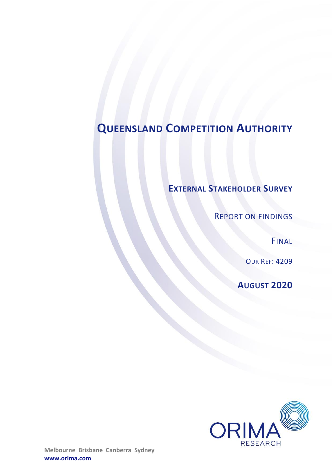# **QUEENSLAND COMPETITION AUTHORITY**

## **EXTERNAL STAKEHOLDER SURVEY**

REPORT ON FINDINGS

FINAL

OUR REF: 4209

**AUGUST 2020**

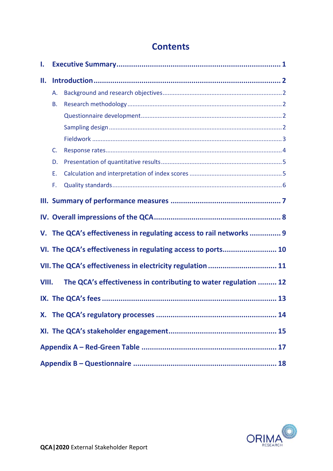### **Contents**

| Ι.    |    |                                                                     |
|-------|----|---------------------------------------------------------------------|
| П.    |    |                                                                     |
|       | Α. |                                                                     |
|       | В. |                                                                     |
|       |    |                                                                     |
|       |    |                                                                     |
|       |    |                                                                     |
|       | C. |                                                                     |
|       | D. |                                                                     |
|       | Е. |                                                                     |
|       | F. |                                                                     |
|       |    |                                                                     |
|       |    |                                                                     |
|       |    | V. The QCA's effectiveness in regulating access to rail networks  9 |
|       |    | VI. The QCA's effectiveness in regulating access to ports 10        |
|       |    | VII. The QCA's effectiveness in electricity regulation  11          |
| VIII. |    | The QCA's effectiveness in contributing to water regulation  12     |
|       |    |                                                                     |
|       |    |                                                                     |
|       |    |                                                                     |
|       |    |                                                                     |
|       |    |                                                                     |

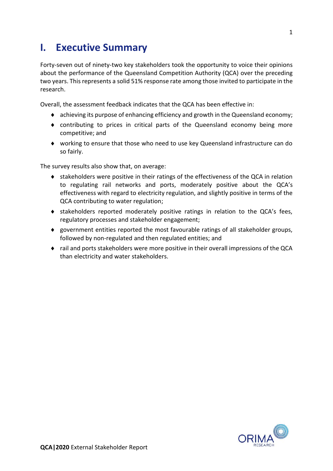## <span id="page-2-0"></span>**I. Executive Summary**

Forty-seven out of ninety-two key stakeholders took the opportunity to voice their opinions about the performance of the Queensland Competition Authority (QCA) over the preceding two years. This represents a solid 51% response rate among those invited to participate in the research.

Overall, the assessment feedback indicates that the QCA has been effective in:

- achieving its purpose of enhancing efficiency and growth in the Queensland economy;
- contributing to prices in critical parts of the Queensland economy being more competitive; and
- working to ensure that those who need to use key Queensland infrastructure can do so fairly.

The survey results also show that, on average:

- stakeholders were positive in their ratings of the effectiveness of the QCA in relation to regulating rail networks and ports, moderately positive about the QCA's effectiveness with regard to electricity regulation, and slightly positive in terms of the QCA contributing to water regulation;
- stakeholders reported moderately positive ratings in relation to the QCA's fees, regulatory processes and stakeholder engagement;
- government entities reported the most favourable ratings of all stakeholder groups, followed by non-regulated and then regulated entities; and
- rail and ports stakeholders were more positive in their overall impressions of the QCA than electricity and water stakeholders.

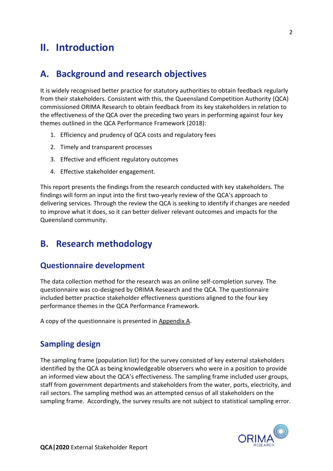## <span id="page-3-0"></span>**II. Introduction**

### <span id="page-3-1"></span>**A. Background and research objectives**

It is widely recognised better practice for statutory authorities to obtain feedback regularly from their stakeholders. Consistent with this, the Queensland Competition Authority (QCA) commissioned ORIMA Research to obtain feedback from its key stakeholders in relation to the effectiveness of the QCA over the preceding two years in performing against four key themes outlined in the QCA Performance Framework (2018):

- 1. Efficiency and prudency of QCA costs and regulatory fees
- 2. Timely and transparent processes
- 3. Effective and efficient regulatory outcomes
- 4. Effective stakeholder engagement.

This report presents the findings from the research conducted with key stakeholders. The findings will form an input into the first two-yearly review of the QCA's approach to delivering services. Through the review the QCA is seeking to identify if changes are needed to improve what it does, so it can better deliver relevant outcomes and impacts for the Queensland community.

### <span id="page-3-2"></span>**B. Research methodology**

### <span id="page-3-3"></span>**Questionnaire development**

The data collection method for the research was an online self-completion survey. The questionnaire was co-designed by ORIMA Research and the QCA. The questionnaire included better practice stakeholder effectiveness questions aligned to the four key performance themes in the QCA Performance Framework.

<span id="page-3-4"></span>A copy of the questionnaire is presented in Appendix A.

### **Sampling design**

The sampling frame (population list) for the survey consisted of key external stakeholders identified by the QCA as being knowledgeable observers who were in a position to provide an informed view about the QCA's effectiveness. The sampling frame included user groups, staff from government departments and stakeholders from the water, ports, electricity, and rail sectors. The sampling method was an attempted census of all stakeholders on the sampling frame. Accordingly, the survey results are not subject to statistical sampling error.

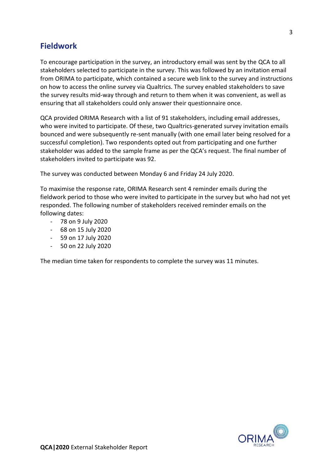### <span id="page-4-0"></span>**Fieldwork**

To encourage participation in the survey, an introductory email was sent by the QCA to all stakeholders selected to participate in the survey. This was followed by an invitation email from ORIMA to participate, which contained a secure web link to the survey and instructions on how to access the online survey via Qualtrics. The survey enabled stakeholders to save the survey results mid-way through and return to them when it was convenient, as well as ensuring that all stakeholders could only answer their questionnaire once.

QCA provided ORIMA Research with a list of 91 stakeholders, including email addresses, who were invited to participate. Of these, two Qualtrics-generated survey invitation emails bounced and were subsequently re-sent manually (with one email later being resolved for a successful completion). Two respondents opted out from participating and one further stakeholder was added to the sample frame as per the QCA's request. The final number of stakeholders invited to participate was 92.

The survey was conducted between Monday 6 and Friday 24 July 2020.

To maximise the response rate, ORIMA Research sent 4 reminder emails during the fieldwork period to those who were invited to participate in the survey but who had not yet responded. The following number of stakeholders received reminder emails on the following dates:

- 78 on 9 July 2020
- 68 on 15 July 2020
- 59 on 17 July 2020
- 50 on 22 July 2020

The median time taken for respondents to complete the survey was 11 minutes.

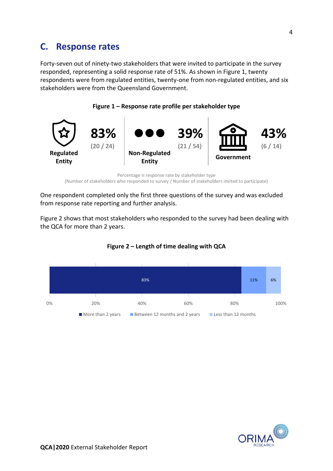### <span id="page-5-0"></span>**C. Response rates**

Forty-seven out of ninety-two stakeholders that were invited to participate in the survey responded, representing a solid response rate of 51%. As shown in Figure 1, twenty respondents were from regulated entities, twenty-one from non-regulated entities, and six stakeholders were from the Queensland Government.





Percentage is response rate by stakeholder type (Number of stakeholders who responded to survey / Number of stakeholders invited to participate)

One respondent completed only the first three questions of the survey and was excluded from response rate reporting and further analysis.

Figure 2 shows that most stakeholders who responded to the survey had been dealing with the QCA for more than 2 years.



**Figure 2 – Length of time dealing with QCA**

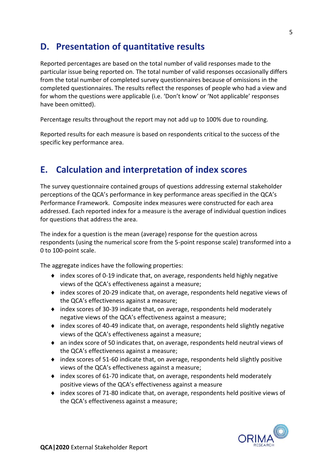### <span id="page-6-0"></span>**D. Presentation of quantitative results**

Reported percentages are based on the total number of valid responses made to the particular issue being reported on. The total number of valid responses occasionally differs from the total number of completed survey questionnaires because of omissions in the completed questionnaires. The results reflect the responses of people who had a view and for whom the questions were applicable (i.e. 'Don't know' or 'Not applicable' responses have been omitted).

Percentage results throughout the report may not add up to 100% due to rounding.

<span id="page-6-1"></span>Reported results for each measure is based on respondents critical to the success of the specific key performance area.

### **E. Calculation and interpretation of index scores**

The survey questionnaire contained groups of questions addressing external stakeholder perceptions of the QCA's performance in key performance areas specified in the QCA's Performance Framework. Composite index measures were constructed for each area addressed. Each reported index for a measure is the average of individual question indices for questions that address the area.

The index for a question is the mean (average) response for the question across respondents (using the numerical score from the 5-point response scale) transformed into a 0 to 100-point scale.

The aggregate indices have the following properties:

- index scores of 0-19 indicate that, on average, respondents held highly negative views of the QCA's effectiveness against a measure;
- index scores of 20-29 indicate that, on average, respondents held negative views of the QCA's effectiveness against a measure;
- index scores of 30-39 indicate that, on average, respondents held moderately negative views of the QCA's effectiveness against a measure;
- index scores of 40-49 indicate that, on average, respondents held slightly negative views of the QCA's effectiveness against a measure;
- an index score of 50 indicates that, on average, respondents held neutral views of the QCA's effectiveness against a measure;
- index scores of 51-60 indicate that, on average, respondents held slightly positive views of the QCA's effectiveness against a measure;
- index scores of 61-70 indicate that, on average, respondents held moderately positive views of the QCA's effectiveness against a measure
- index scores of 71-80 indicate that, on average, respondents held positive views of the QCA's effectiveness against a measure;

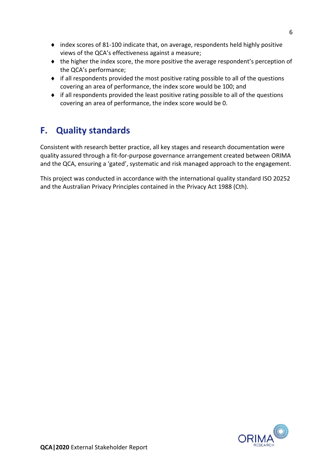- index scores of 81-100 indicate that, on average, respondents held highly positive views of the QCA's effectiveness against a measure;
- the higher the index score, the more positive the average respondent's perception of the QCA's performance;
- if all respondents provided the most positive rating possible to all of the questions covering an area of performance, the index score would be 100; and
- if all respondents provided the least positive rating possible to all of the questions covering an area of performance, the index score would be 0.

### <span id="page-7-0"></span>**F. Quality standards**

Consistent with research better practice, all key stages and research documentation were quality assured through a fit-for-purpose governance arrangement created between ORIMA and the QCA, ensuring a 'gated', systematic and risk managed approach to the engagement.

This project was conducted in accordance with the international quality standard ISO 20252 and the Australian Privacy Principles contained in the Privacy Act 1988 (Cth).

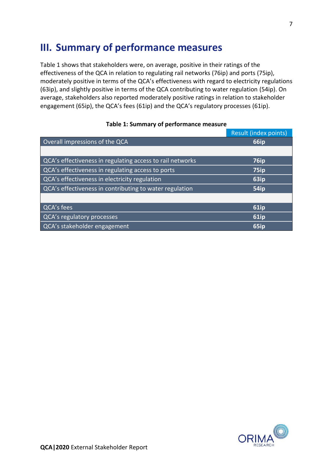## <span id="page-8-0"></span>**III. Summary of performance measures**

Table 1 shows that stakeholders were, on average, positive in their ratings of the effectiveness of the QCA in relation to regulating rail networks (76ip) and ports (75ip), moderately positive in terms of the QCA's effectiveness with regard to electricity regulations (63ip), and slightly positive in terms of the QCA contributing to water regulation (54ip). On average, stakeholders also reported moderately positive ratings in relation to stakeholder engagement (65ip), the QCA's fees (61ip) and the QCA's regulatory processes (61ip).

|                                                           | Result (index points) |
|-----------------------------------------------------------|-----------------------|
| Overall impressions of the QCA                            | 66ip                  |
|                                                           |                       |
| QCA's effectiveness in regulating access to rail networks | 76ip                  |
| QCA's effectiveness in regulating access to ports         | <b>75ip</b>           |
| QCA's effectiveness in electricity regulation             | 63ip                  |
| QCA's effectiveness in contributing to water regulation   | <b>54ip</b>           |
|                                                           |                       |
| QCA's fees                                                | <b>61ip</b>           |
| QCA's regulatory processes                                | 61ip                  |
| QCA's stakeholder engagement                              | 65ip                  |

#### **Table 1: Summary of performance measure**

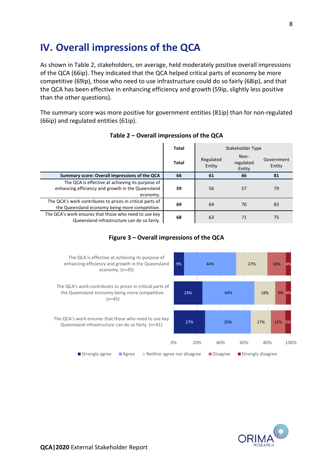## <span id="page-9-0"></span>**IV. Overall impressions of the QCA**

As shown in Table 2, stakeholders, on average, held moderately positive overall impressions of the QCA (66ip). They indicated that the QCA helped critical parts of economy be more competitive (69ip), those who need to use infrastructure could do so fairly (68ip), and that the QCA has been effective in enhancing efficiency and growth (59ip, slightly less positive than the other questions).

The summary score was more positive for government entities (81ip) than for non-regulated (66ip) and regulated entities (61ip).

|                                                                                                                   | Total | Stakeholder Type    |                             |                      |  |
|-------------------------------------------------------------------------------------------------------------------|-------|---------------------|-----------------------------|----------------------|--|
|                                                                                                                   | Total | Regulated<br>Entity | Non-<br>regulated<br>Entity | Government<br>Entity |  |
| Summary score: Overall impressions of the QCA                                                                     | 66    | 61                  | 66                          | 81                   |  |
| The QCA is effective at achieving its purpose of<br>enhancing efficiency and growth in the Queensland<br>economy. | 59    | 56                  | 57                          | 79                   |  |
| The QCA's work contributes to prices in critical parts of<br>the Queensland economy being more competitive.       | 69    | 64                  | 70                          | 83                   |  |
| The QCA's work ensures that those who need to use key<br>Queensland infrastructure can do so fairly.              | 68    | 63                  | 71                          | 75                   |  |

#### **Table 2 – Overall impressions of the QCA**

### **Figure 3 – Overall impressions of the QCA**



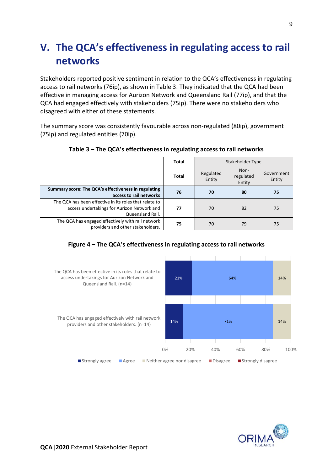## <span id="page-10-0"></span>**V. The QCA's effectiveness in regulating access to rail networks**

Stakeholders reported positive sentiment in relation to the QCA's effectiveness in regulating access to rail networks (76ip), as shown in Table 3. They indicated that the QCA had been effective in managing access for Aurizon Network and Queensland Rail (77ip), and that the QCA had engaged effectively with stakeholders (75ip). There were no stakeholders who disagreed with either of these statements.

The summary score was consistently favourable across non-regulated (80ip), government (75ip) and regulated entities (70ip).

|                                                                                                                           | <b>Total</b> | Stakeholder Type                                   |    |                      |  |
|---------------------------------------------------------------------------------------------------------------------------|--------------|----------------------------------------------------|----|----------------------|--|
|                                                                                                                           | <b>Total</b> | Non-<br>Regulated<br>regulated<br>Entity<br>Entity |    | Government<br>Entity |  |
| Summary score: The QCA's effectiveness in regulating<br>access to rail networks                                           | 76           | 70                                                 | 80 | 75                   |  |
| The QCA has been effective in its roles that relate to<br>access undertakings for Aurizon Network and<br>Queensland Rail. | 77           | 70                                                 | 82 | 75                   |  |
| The QCA has engaged effectively with rail network<br>providers and other stakeholders.                                    | 75           | 70                                                 | 79 | 75                   |  |

**Table 3 – The QCA's effectiveness in regulating access to rail networks** 

### **Figure 4 – The QCA's effectiveness in regulating access to rail networks**



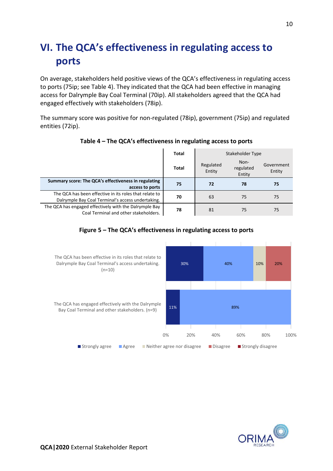## <span id="page-11-0"></span>**VI. The QCA's effectiveness in regulating access to ports**

On average, stakeholders held positive views of the QCA's effectiveness in regulating access to ports (75ip; see Table 4). They indicated that the QCA had been effective in managing access for Dalrymple Bay Coal Terminal (70ip). All stakeholders agreed that the QCA had engaged effectively with stakeholders (78ip).

The summary score was positive for non-regulated (78ip), government (75ip) and regulated entities (72ip).

|                                                                                                             | Total        | Stakeholder Type                                   |    |                      |
|-------------------------------------------------------------------------------------------------------------|--------------|----------------------------------------------------|----|----------------------|
|                                                                                                             | <b>Total</b> | Non-<br>Regulated<br>regulated<br>Entity<br>Entity |    | Government<br>Entity |
| Summary score: The QCA's effectiveness in regulating<br>access to ports                                     | 75           | 72                                                 | 78 | 75                   |
| The QCA has been effective in its roles that relate to<br>Dalrymple Bay Coal Terminal's access undertaking. | 70           | 63                                                 | 75 | 75                   |
| The QCA has engaged effectively with the Dalrymple Bay<br>Coal Terminal and other stakeholders.             | 78           | 81                                                 | 75 | 75                   |

### **Table 4 – The QCA's effectiveness in regulating access to ports**

### **Figure 5 – The QCA's effectiveness in regulating access to ports**



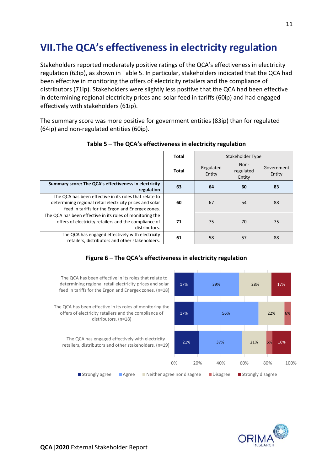## <span id="page-12-0"></span>**VII.The QCA's effectiveness in electricity regulation**

Stakeholders reported moderately positive ratings of the QCA's effectiveness in electricity regulation (63ip), as shown in Table 5. In particular, stakeholders indicated that the QCA had been effective in monitoring the offers of electricity retailers and the compliance of distributors (71ip). Stakeholders were slightly less positive that the QCA had been effective in determining regional electricity prices and solar feed in tariffs (60ip) and had engaged effectively with stakeholders (61ip).

The summary score was more positive for government entities (83ip) than for regulated (64ip) and non-regulated entities (60ip).

|                                                                                                                                                                        | <b>Total</b> | Stakeholder Type                                   |    |                      |
|------------------------------------------------------------------------------------------------------------------------------------------------------------------------|--------------|----------------------------------------------------|----|----------------------|
|                                                                                                                                                                        | <b>Total</b> | Non-<br>Regulated<br>regulated<br>Entity<br>Entity |    | Government<br>Entity |
| Summary score: The QCA's effectiveness in electricity<br>regulation                                                                                                    | 63           | 64                                                 | 60 | 83                   |
| The QCA has been effective in its roles that relate to<br>determining regional retail electricity prices and solar<br>feed in tariffs for the Ergon and Energex zones. | 60           | 67                                                 | 54 | 88                   |
| The QCA has been effective in its roles of monitoring the<br>offers of electricity retailers and the compliance of<br>distributors.                                    | 71           | 75                                                 | 70 | 75                   |
| The QCA has engaged effectively with electricity<br>retailers, distributors and other stakeholders.                                                                    | 61           | 58                                                 | 57 | 88                   |

#### **Table 5 – The QCA's effectiveness in electricity regulation**

### **Figure 6 – The QCA's effectiveness in electricity regulation**



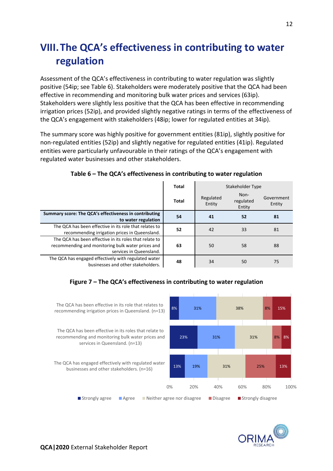## <span id="page-13-0"></span>**VIII.The QCA's effectiveness in contributing to water regulation**

Assessment of the QCA's effectiveness in contributing to water regulation was slightly positive (54ip; see Table 6). Stakeholders were moderately positive that the QCA had been effective in recommending and monitoring bulk water prices and services (63ip). Stakeholders were slightly less positive that the QCA has been effective in recommending irrigation prices (52ip), and provided slightly negative ratings in terms of the effectiveness of the QCA's engagement with stakeholders (48ip; lower for regulated entities at 34ip).

The summary score was highly positive for government entities (81ip), slightly positive for non-regulated entities (52ip) and slightly negative for regulated entities (41ip). Regulated entities were particularly unfavourable in their ratings of the QCA's engagement with regulated water businesses and other stakeholders.

|                                                                                                                                        | <b>Total</b> | Stakeholder Type    |                             |                      |  |
|----------------------------------------------------------------------------------------------------------------------------------------|--------------|---------------------|-----------------------------|----------------------|--|
|                                                                                                                                        | <b>Total</b> | Regulated<br>Entity | Non-<br>regulated<br>Entity | Government<br>Entity |  |
| Summary score: The QCA's effectiveness in contributing<br>to water regulation                                                          | 54           | 41                  | 52                          | 81                   |  |
| The QCA has been effective in its role that relates to<br>recommending irrigation prices in Queensland.                                | 52           | 42                  | 33                          | 81                   |  |
| The QCA has been effective in its roles that relate to<br>recommending and monitoring bulk water prices and<br>services in Queensland. | 63           | 50                  | 58                          | 88                   |  |
| The QCA has engaged effectively with regulated water<br>businesses and other stakeholders.                                             | 48           | 34                  | 50                          | 75                   |  |

#### **Table 6 – The QCA's effectiveness in contributing to water regulation**

### **Figure 7 – The QCA's effectiveness in contributing to water regulation**



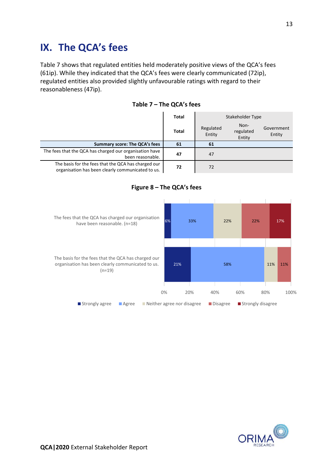## <span id="page-14-0"></span>**IX. The QCA's fees**

Table 7 shows that regulated entities held moderately positive views of the QCA's fees (61ip). While they indicated that the QCA's fees were clearly communicated (72ip), regulated entities also provided slightly unfavourable ratings with regard to their reasonableness (47ip).

|                                                                                                          | Total | Stakeholder Type    |                             |                      |
|----------------------------------------------------------------------------------------------------------|-------|---------------------|-----------------------------|----------------------|
|                                                                                                          | Total | Regulated<br>Entity | Non-<br>regulated<br>Entity | Government<br>Entity |
| <b>Summary score: The QCA's fees</b>                                                                     | 61    | 61                  |                             |                      |
| The fees that the QCA has charged our organisation have<br>been reasonable.                              | 47    | 47                  |                             |                      |
| The basis for the fees that the QCA has charged our<br>organisation has been clearly communicated to us. | 72    | 72                  |                             |                      |

#### **Table 7 – The QCA's fees**



### **Figure 8 – The QCA's fees**

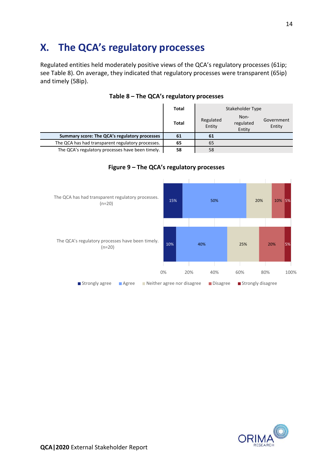## <span id="page-15-0"></span>**X. The QCA's regulatory processes**

Regulated entities held moderately positive views of the QCA's regulatory processes (61ip; see Table 8). On average, they indicated that regulatory processes were transparent (65ip) and timely (58ip).

|                                                   | <b>Total</b> | Stakeholder Type                                                           |  |  |
|---------------------------------------------------|--------------|----------------------------------------------------------------------------|--|--|
|                                                   | <b>Total</b> | Non-<br>Regulated<br>Government<br>regulated<br>Entity<br>Entity<br>Entity |  |  |
| Summary score: The QCA's regulatory processes     | 61           | 61                                                                         |  |  |
| The QCA has had transparent regulatory processes. | 65           | 65                                                                         |  |  |
| The QCA's regulatory processes have been timely.  | 58           | 58                                                                         |  |  |

### **Table 8 – The QCA's regulatory processes**



### **Figure 9 – The QCA's regulatory processes**

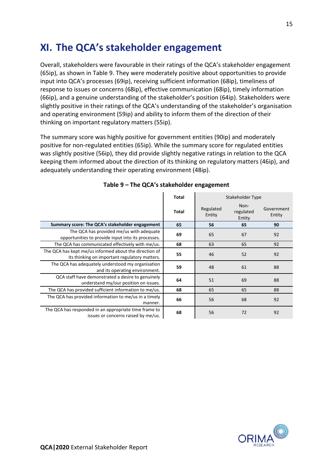## <span id="page-16-0"></span>**XI. The QCA's stakeholder engagement**

Overall, stakeholders were favourable in their ratings of the QCA's stakeholder engagement (65ip), as shown in Table 9. They were moderately positive about opportunities to provide input into QCA's processes (69ip), receiving sufficient information (68ip), timeliness of response to issues or concerns (68ip), effective communication (68ip), timely information (66ip), and a genuine understanding of the stakeholder's position (64ip). Stakeholders were slightly positive in their ratings of the QCA's understanding of the stakeholder's organisation and operating environment (59ip) and ability to inform them of the direction of their thinking on important regulatory matters (55ip).

The summary score was highly positive for government entities (90ip) and moderately positive for non-regulated entities (65ip). While the summary score for regulated entities was slightly positive (56ip), they did provide slightly negative ratings in relation to the QCA keeping them informed about the direction of its thinking on regulatory matters (46ip), and adequately understanding their operating environment (48ip).

|                                                                                                         | Total | Stakeholder Type    |                             |                      |  |
|---------------------------------------------------------------------------------------------------------|-------|---------------------|-----------------------------|----------------------|--|
|                                                                                                         | Total | Regulated<br>Entity | Non-<br>regulated<br>Entity | Government<br>Entity |  |
| Summary score: The QCA's stakeholder engagement                                                         | 65    | 56                  | 65                          | 90                   |  |
| The QCA has provided me/us with adequate<br>opportunities to provide input into its processes.          | 69    | 65                  | 67                          | 92                   |  |
| The QCA has communicated effectively with me/us.                                                        | 68    | 63                  | 65                          | 92                   |  |
| The QCA has kept me/us informed about the direction of<br>its thinking on important regulatory matters. | 55    | 46                  | 52                          | 92                   |  |
| The QCA has adequately understood my organisation<br>and its operating environment.                     | 59    | 48                  | 61                          | 88                   |  |
| QCA staff have demonstrated a desire to genuinely<br>understand my/our position on issues.              | 64    | 51                  | 69                          | 88                   |  |
| The QCA has provided sufficient information to me/us.                                                   | 68    | 65                  | 65                          | 88                   |  |
| The QCA has provided information to me/us in a timely<br>manner.                                        | 66    | 56                  | 68                          | 92                   |  |
| The QCA has responded in an appropriate time frame to<br>issues or concerns raised by me/us.            | 68    | 56                  | 72                          | 92                   |  |

|  |  |  | Table 9 - The QCA's stakeholder engagement |
|--|--|--|--------------------------------------------|
|--|--|--|--------------------------------------------|

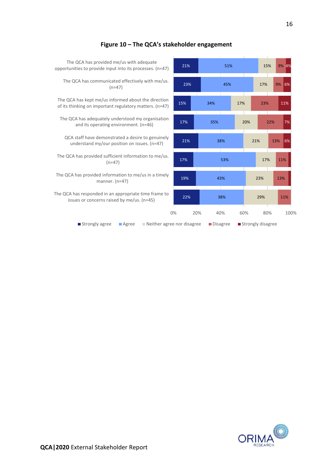

### **Figure 10 – The QCA's stakeholder engagement**

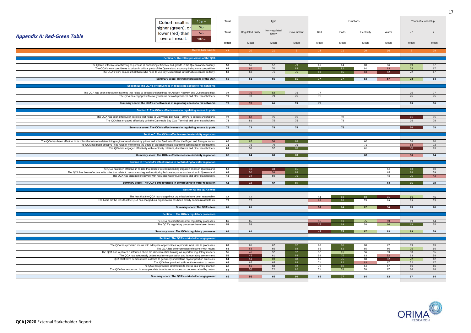17

|                                                                                                                                                                 | $10ip +$<br>Cohort result is                                                                                                                                                                                              | Total    |                         | Type                    |                |                       |          | Functions       |                 | Years of relationship |          |
|-----------------------------------------------------------------------------------------------------------------------------------------------------------------|---------------------------------------------------------------------------------------------------------------------------------------------------------------------------------------------------------------------------|----------|-------------------------|-------------------------|----------------|-----------------------|----------|-----------------|-----------------|-----------------------|----------|
| <b>Appendix A: Red-Green Table</b>                                                                                                                              | 5ip<br>higher (green), or<br>lower (red) than<br>5ip<br>overall result:                                                                                                                                                   | Total    | <b>Regulated Entity</b> | Non-regulated<br>Entity | Government     | Rail                  | Ports    | Electricity     | Water           | $<$ 2                 | $2+$     |
|                                                                                                                                                                 | $10ip -$                                                                                                                                                                                                                  | Mean     |                         | Mear                    | Mean           | Mean                  | Mean     | Mean            | Mean            | Mean                  | Mean     |
|                                                                                                                                                                 | Overall base size                                                                                                                                                                                                         | 47       | 20 <sup>2</sup>         | $-21$                   | 6 <sup>°</sup> | 14                    | $-11$    | 20 <sup>2</sup> | 16              |                       | 39       |
|                                                                                                                                                                 | Section B: Overall impressions of the QCA                                                                                                                                                                                 |          |                         |                         |                |                       |          |                 |                 |                       |          |
|                                                                                                                                                                 | The QCA is effective at achieving its purpose of enhancing efficiency and growth in the Queensland economy                                                                                                                | 59       | 56                      | 57                      | 79             | 61                    | 64       | 60              | 56              | 69                    | 57       |
|                                                                                                                                                                 | The QCA's work contributes to prices in critical parts of the Queensland economy being more competitive.                                                                                                                  | 69       | 64                      | 70                      | 83             | 80                    | 82       | 64              | 63              | 78                    | 67       |
|                                                                                                                                                                 | The QCA's work ensures that those who need to use key Queensland infrastructure can do so fairly                                                                                                                          | 68       | 63                      | 71                      | 75             | 89                    |          | 63              | 52 <sub>2</sub> | 72                    | 67       |
|                                                                                                                                                                 | Summary score: Overall impressions of the QCA                                                                                                                                                                             | 66       | 61                      | 66                      | 81             | 77 <sub>z</sub>       | -77      | 63              | 57 <sub>2</sub> | 73                    | 64       |
|                                                                                                                                                                 | Section E: The QCA's effectiveness in regulating access to rail networks                                                                                                                                                  |          |                         |                         |                |                       |          |                 |                 |                       |          |
|                                                                                                                                                                 | The QCA has been effective in its roles that relate to access undertakings for Aurizon Network and Queensland Rail                                                                                                        | 77       | 70                      | 82                      | 75             | 77                    |          |                 |                 | 75                    | 77       |
|                                                                                                                                                                 | The QCA has engaged effectively with rail network providers and other stakeholders                                                                                                                                        | 75       | 70                      | 79                      | 75             | 75                    |          |                 |                 | 75                    | 75       |
|                                                                                                                                                                 | Summary score: The QCA's effectiveness in regulating access to rail networks                                                                                                                                              | 76       | 70                      | 80                      | 75             | 76                    |          |                 |                 | 75                    | 76       |
|                                                                                                                                                                 |                                                                                                                                                                                                                           |          |                         |                         |                |                       |          |                 |                 |                       |          |
|                                                                                                                                                                 | Section F: The QCA's effectiveness in regulating access to ports                                                                                                                                                          |          |                         |                         |                |                       |          |                 |                 |                       |          |
|                                                                                                                                                                 | The QCA has been effective in its roles that relate to Dalrymple Bay Coal Terminal's access undertaking                                                                                                                   | 70       | 63                      | 75                      | 75             |                       | 70       |                 |                 | 25                    | 75       |
|                                                                                                                                                                 | The QCA has engaged effectively with the Dalrymple Bay Coal Terminal and other stakeholders                                                                                                                               | 78       | 81                      | 75                      | 75             |                       | 78       |                 |                 | 75                    | 78       |
|                                                                                                                                                                 | Summary score: The QCA's effectiveness in regulating access to ports                                                                                                                                                      | 75       | 72                      | 78                      | 75             |                       | 75       |                 |                 | 50                    | 78       |
|                                                                                                                                                                 | Section C: The QCA's effectiveness in electricity regulation                                                                                                                                                              |          |                         |                         |                |                       |          |                 |                 |                       |          |
| The QCA has been effective in its roles that relate to determining regional retail electricity prices and solar feed in tariffs for the Ergon and Energex zones |                                                                                                                                                                                                                           | 60       | 67                      | 54                      | 88             |                       |          | 60              |                 | 58                    | 60       |
|                                                                                                                                                                 | The QCA has been effective in its roles of monitoring the offers of electricity retailers and the compliance of distributors                                                                                              | 71       | 75                      | 70                      | 75             |                       |          | 71              |                 | 63                    | 72       |
|                                                                                                                                                                 | The QCA has engaged effectively with electricity retailers, distributors and other stakeholders                                                                                                                           | 61       | 58                      | 57                      | 88             |                       |          | 61              |                 | 50 <sup>°</sup>       | 63       |
|                                                                                                                                                                 | Summary score: The QCA's effectiveness in electricity regulation                                                                                                                                                          | 63       | 64                      | 60                      | 83             |                       |          | 63              |                 | 56                    | 64       |
|                                                                                                                                                                 | Section D: The QCA's effectiveness in contributing to water regulation                                                                                                                                                    |          |                         |                         |                |                       |          |                 |                 |                       |          |
|                                                                                                                                                                 | The QCA has been effective in its role that relates to recommending irrigation prices in Queensland                                                                                                                       | 52       | 42                      | 33 <sup>°</sup>         | 81             |                       |          |                 | 52              | 63                    | 50       |
|                                                                                                                                                                 | The QCA has been effective in its roles that relate to recommending and monitoring bulk water prices and services in Queensland<br>The QCA has engaged effectively with regulated water businesses and other stakeholders | 63<br>48 | 50<br>34                | 58<br>50                | 88<br>75       |                       |          |                 | 63<br>48        | 88<br>75              | 59<br>42 |
|                                                                                                                                                                 |                                                                                                                                                                                                                           |          |                         |                         |                |                       |          |                 |                 |                       |          |
|                                                                                                                                                                 | Summary score: The QCA's effectiveness in contributing to water regulation                                                                                                                                                | 54       | 41                      | 52                      | 81             |                       |          |                 | 54              | 75                    | 49       |
|                                                                                                                                                                 | <b>Section G: The QCA's fees</b>                                                                                                                                                                                          |          |                         |                         |                |                       |          |                 |                 |                       |          |
|                                                                                                                                                                 | The fees that the QCA has charged our organisation have been reasonable                                                                                                                                                   | 47       | 47                      |                         |                | 44                    | 83       |                 | -31             | 56                    | 45       |
|                                                                                                                                                                 | The basis for the fees that the QCA has charged our organisation has been clearly communicated to us.                                                                                                                     | 72       | 72                      |                         |                | 63                    | 88       | 75              | 69              | 69                    | 73       |
|                                                                                                                                                                 | Summary score: The QCA's fees                                                                                                                                                                                             | 61       | 61                      |                         |                | 53                    | 84       | 67              | 50              | 63                    | 60       |
|                                                                                                                                                                 | Section H: The QCA's regulatory processes                                                                                                                                                                                 |          |                         |                         |                |                       |          |                 |                 |                       |          |
|                                                                                                                                                                 |                                                                                                                                                                                                                           |          |                         |                         |                |                       |          |                 |                 |                       |          |
|                                                                                                                                                                 | The QCA has had transparent regulatory processes<br>The QCA's regulatory processes have been timely                                                                                                                       | 65<br>58 | 65<br>58                |                         |                | 55<br>35 <sup>2</sup> |          | 75<br>58        | 59<br>66        | 69<br>69              | 64<br>55 |
|                                                                                                                                                                 |                                                                                                                                                                                                                           |          |                         |                         |                |                       |          |                 |                 |                       |          |
|                                                                                                                                                                 | Summary score: The QCA's regulatory processes                                                                                                                                                                             | 61       | 61                      |                         |                |                       |          | 67              | 63              | 69                    | 59       |
|                                                                                                                                                                 | Section I: The QCA's stakeholder engagement                                                                                                                                                                               |          |                         |                         |                |                       |          |                 |                 |                       |          |
|                                                                                                                                                                 | The QCA has provided me/us with adequate opportunities to provide input into its processes                                                                                                                                | 69       | 65                      | 67                      | 92             | 68                    | 86       | 68              | 72              | 69                    | 69       |
|                                                                                                                                                                 | The QCA has communicated effectively with me/us<br>The QCA has kept me/us informed about the direction of its thinking on important regulatory matters                                                                    | 68<br>55 | 63<br>46                | 65<br>52                | 92<br>92       | 66<br>52              | 82       | 65<br>56        | 66              | 75<br>53              | 66       |
|                                                                                                                                                                 | The QCA has adequately understood my organisation and its operating environment                                                                                                                                           | 59       | 48                      | 61                      | 88             | 59                    | 61<br>75 | 63              | 59<br>52        | 63                    | 55<br>58 |
|                                                                                                                                                                 | QCA staff have demonstrated a desire to genuinely understand my/our position on issues                                                                                                                                    | 64       | 51                      | 69                      | 88             | 66                    | 75       | 68              | 52              | 72                    | 62       |
|                                                                                                                                                                 | The QCA has provided sufficient information to me/us                                                                                                                                                                      | 68       | 65                      | 65                      | 88             | 71                    | 82       | 63              | 67              | 72                    | 67       |
|                                                                                                                                                                 | The QCA has provided information to me/us in a timely manner<br>The QCA has responded in an appropriate time frame to issues or concerns raised by me/us                                                                  | 66<br>68 | 56<br>56                | 68<br>72                | 92<br>92       | 70<br>71              | 80<br>78 | 64<br>70        | 67<br>67        | 66<br>66              | 66<br>68 |
|                                                                                                                                                                 |                                                                                                                                                                                                                           |          |                         |                         |                |                       |          |                 |                 |                       |          |
|                                                                                                                                                                 | Summary score: The QCA's stakeholder engagement                                                                                                                                                                           | 65       | 56                      | 65                      | 90             | 65                    | 77       | 64              | 63              | 67                    | 64       |

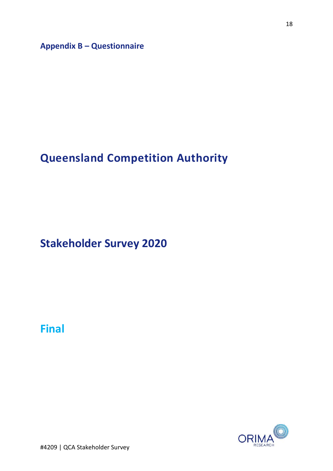**Appendix B – Questionnaire**

## **Queensland Competition Authority**

**Stakeholder Survey 2020**

**Final**



#4209 | QCA Stakeholder Survey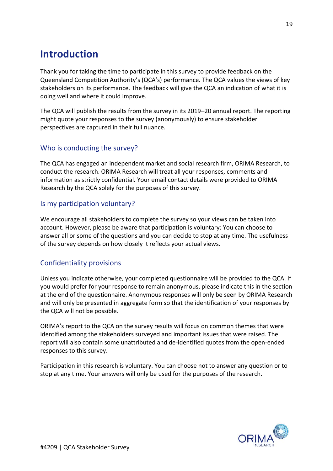## **Introduction**

Thank you for taking the time to participate in this survey to provide feedback on the Queensland Competition Authority's (QCA's) performance. The QCA values the views of key stakeholders on its performance. The feedback will give the QCA an indication of what it is doing well and where it could improve.

The QCA will publish the results from the survey in its 2019–20 annual report. The reporting might quote your responses to the survey (anonymously) to ensure stakeholder perspectives are captured in their full nuance.

### Who is conducting the survey?

The QCA has engaged an independent market and social research firm, ORIMA Research, to conduct the research. ORIMA Research will treat all your responses, comments and information as strictly confidential. Your email contact details were provided to ORIMA Research by the QCA solely for the purposes of this survey.

### Is my participation voluntary?

We encourage all stakeholders to complete the survey so your views can be taken into account. However, please be aware that participation is voluntary: You can choose to answer all or some of the questions and you can decide to stop at any time. The usefulness of the survey depends on how closely it reflects your actual views.

### Confidentiality provisions

Unless you indicate otherwise, your completed questionnaire will be provided to the QCA. If you would prefer for your response to remain anonymous, please indicate this in the section at the end of the questionnaire. Anonymous responses will only be seen by ORIMA Research and will only be presented in aggregate form so that the identification of your responses by the QCA will not be possible.

ORIMA's report to the QCA on the survey results will focus on common themes that were identified among the stakeholders surveyed and important issues that were raised. The report will also contain some unattributed and de-identified quotes from the open-ended responses to this survey.

Participation in this research is voluntary. You can choose not to answer any question or to stop at any time. Your answers will only be used for the purposes of the research.

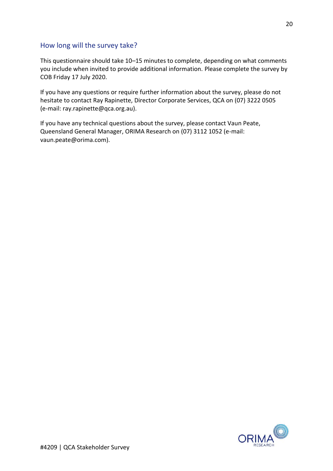### How long will the survey take?

This questionnaire should take 10–15 minutes to complete, depending on what comments you include when invited to provide additional information. Please complete the survey by COB Friday 17 July 2020.

If you have any questions or require further information about the survey, please do not hesitate to contact Ray Rapinette, Director Corporate Services, QCA on (07) 3222 0505 (e-mail: ray.rapinette@qca.org.au).

If you have any technical questions about the survey, please contact Vaun Peate, Queensland General Manager, ORIMA Research on (07) 3112 1052 (e-mail: vaun.peate@orima.com).

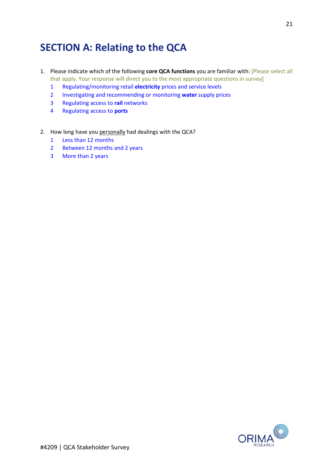## **SECTION A: Relating to the QCA**

- 1. Please indicate which of the following **core QCA functions** you are familiar with: [Please select all that apply. Your response will direct you to the most appropriate questions in survey]
	- 1 Regulating/monitoring retail **electricity** prices and service levels
	- 2 Investigating and recommending or monitoring **water** supply prices
	- 3 Regulating access to **rail** networks
	- 4 Regulating access to **ports**
- 2. How long have you personally had dealings with the QCA?
	- 1 Less than 12 months
	- 2 Between 12 months and 2 years
	- 3 More than 2 years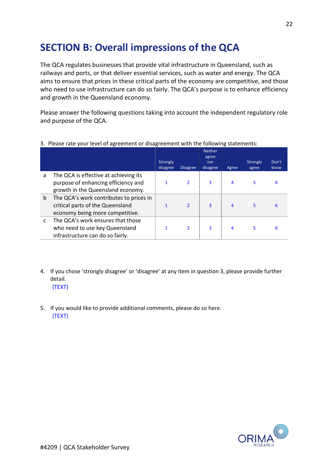## **SECTION B: Overall impressions of the QCA**

The QCA regulates businesses that provide vital infrastructure in Queensland, such as railways and ports, or that deliver essential services, such as water and energy. The QCA aims to ensure that prices in these critical parts of the economy are competitive, and those who need to use infrastructure can do so fairly. The QCA's purpose is to enhance efficiency and growth in the Queensland economy.

Please answer the following questions taking into account the independent regulatory role and purpose of the QCA.

|              |                                                                                                                   | Strongly<br>disagree | <b>Disagree</b>          | <b>Neither</b><br>agree<br>nor<br>disagree | Agree | Strongly<br>agree | Don't<br>know |  |
|--------------|-------------------------------------------------------------------------------------------------------------------|----------------------|--------------------------|--------------------------------------------|-------|-------------------|---------------|--|
| a            | The QCA is effective at achieving its<br>purpose of enhancing efficiency and<br>growth in the Queensland economy. |                      | $\overline{2}$           | 3                                          | 4     | 5                 | 6             |  |
| $\mathsf{b}$ | The QCA's work contributes to prices in<br>critical parts of the Queensland<br>economy being more competitive.    |                      | $\overline{\mathbf{z}}$  | $\overline{3}$                             | 4     |                   | 6             |  |
| C            | The QCA's work ensures that those<br>who need to use key Queensland<br>infrastructure can do so fairly.           |                      | $\overline{\phantom{a}}$ | 3                                          | 4     | 5.                | 6             |  |

3. Please rate your level of agreement or disagreement with the following statements:

- 4. If you chose 'strongly disagree' or 'disagree' at any item in question 3, please provide further detail. {TEXT}
- 5. If you would like to provide additional comments, please do so here. {TEXT}

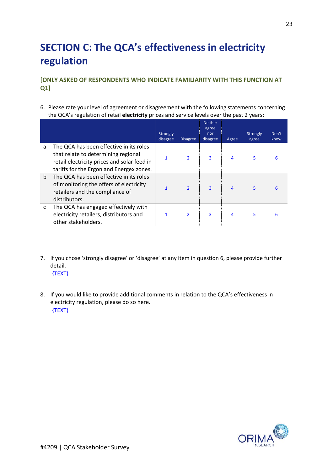## **SECTION C: The QCA's effectiveness in electricity regulation**

### **[ONLY ASKED OF RESPONDENTS WHO INDICATE FAMILIARITY WITH THIS FUNCTION AT Q1]**

6. Please rate your level of agreement or disagreement with the following statements concerning the QCA's regulation of retail **electricity** prices and service levels over the past 2 years:

|             |                                                                                                                                                                           | Strongly<br>disagree | <b>Disagree</b>          | <b>Neither</b><br>agree<br>nor<br>disagree | Agree | Strongly<br>agree | Don't<br>know |
|-------------|---------------------------------------------------------------------------------------------------------------------------------------------------------------------------|----------------------|--------------------------|--------------------------------------------|-------|-------------------|---------------|
| a           | The QCA has been effective in its roles<br>that relate to determining regional<br>retail electricity prices and solar feed in<br>tariffs for the Ergon and Energex zones. |                      | $\overline{\phantom{a}}$ | 3                                          | 4     | 5                 | 6             |
| $\mathbf b$ | The QCA has been effective in its roles<br>of monitoring the offers of electricity<br>retailers and the compliance of<br>distributors.                                    |                      | $\overline{\mathbf{z}}$  | $\overline{3}$                             | 4     | 5                 | 6             |
| C           | The QCA has engaged effectively with<br>electricity retailers, distributors and<br>other stakeholders.                                                                    |                      | $\overline{\phantom{a}}$ | 3                                          | 4     | 5                 | 6             |

- 7. If you chose 'strongly disagree' or 'disagree' at any item in question 6, please provide further detail. {TEXT}
- 8. If you would like to provide additional comments in relation to the QCA's effectiveness in electricity regulation, please do so here. {TEXT}

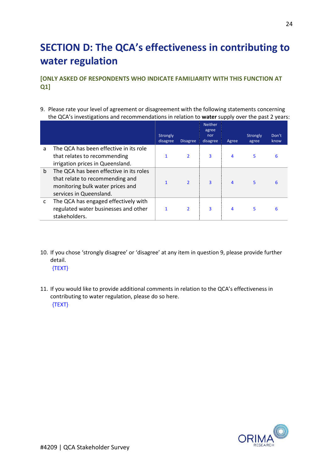## **SECTION D: The QCA's effectiveness in contributing to water regulation**

**[ONLY ASKED OF RESPONDENTS WHO INDICATE FAMILIARITY WITH THIS FUNCTION AT Q1]**

9. Please rate your level of agreement or disagreement with the following statements concerning the QCA's investigations and recommendations in relation to **water** supply over the past 2 years:

|   |                                                                                                                                           | Strongly<br>disagree | <b>Disagree</b>         | <b>Neither</b><br>agree<br>nor<br>disagree | Agree          | Strongly<br>agree | Don't<br>know |
|---|-------------------------------------------------------------------------------------------------------------------------------------------|----------------------|-------------------------|--------------------------------------------|----------------|-------------------|---------------|
| a | The QCA has been effective in its role<br>that relates to recommending<br>irrigation prices in Queensland.                                |                      | $\overline{2}$          | 3                                          | 4              | 5                 | 6             |
| b | The QCA has been effective in its roles<br>that relate to recommending and<br>monitoring bulk water prices and<br>services in Queensland. |                      | $\overline{\mathbf{z}}$ | 3                                          | $\overline{4}$ | 5.                | 6             |
| c | The QCA has engaged effectively with<br>regulated water businesses and other<br>stakeholders.                                             |                      | $\overline{2}$          | 3                                          | 4              | 5                 | 6             |

10. If you chose 'strongly disagree' or 'disagree' at any item in question 9, please provide further detail.

{TEXT}

11. If you would like to provide additional comments in relation to the QCA's effectiveness in contributing to water regulation, please do so here. {TEXT}

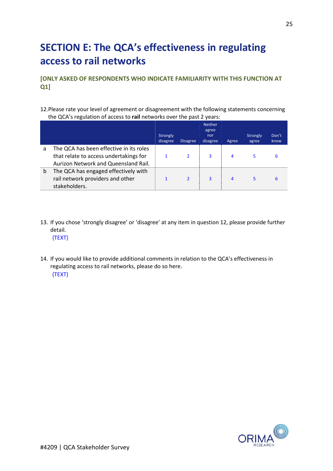## **SECTION E: The QCA's effectiveness in regulating access to rail networks**

**[ONLY ASKED OF RESPONDENTS WHO INDICATE FAMILIARITY WITH THIS FUNCTION AT Q1]** 

12.Please rate your level of agreement or disagreement with the following statements concerning the QCA's regulation of access to **rail** networks over the past 2 years:

|   |                                                                                                                           | Strongly<br>disagree | <b>Disagree</b> | <b>Neither</b><br>agree<br>nor<br>disagree | Agree | Strongly<br>agree | Don't<br>know |
|---|---------------------------------------------------------------------------------------------------------------------------|----------------------|-----------------|--------------------------------------------|-------|-------------------|---------------|
| a | The QCA has been effective in its roles<br>that relate to access undertakings for<br>Aurizon Network and Queensland Rail. |                      |                 | 3                                          | 4     |                   | 6             |
| b | The QCA has engaged effectively with<br>rail network providers and other<br>stakeholders.                                 |                      |                 | 3                                          | 4     | 5                 | 6             |

- 13. If you chose 'strongly disagree' or 'disagree' at any item in question 12, please provide further detail. {TEXT}
- 14. If you would like to provide additional comments in relation to the QCA's effectiveness in regulating access to rail networks, please do so here. {TEXT}

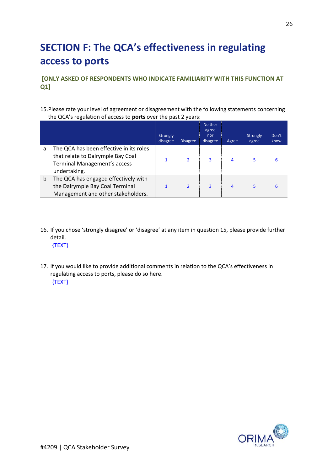## **SECTION F: The QCA's effectiveness in regulating access to ports**

**[ONLY ASKED OF RESPONDENTS WHO INDICATE FAMILIARITY WITH THIS FUNCTION AT Q1]** 

15.Please rate your level of agreement or disagreement with the following statements concerning the QCA's regulation of access to **ports** over the past 2 years:

|   |                                                                                                                                     | Strongly<br>disagree | <b>Disagree</b> | <b>Neither</b><br>agree<br>nor<br>disagree | Agree          | Strongly<br>agree | Don't<br>know |
|---|-------------------------------------------------------------------------------------------------------------------------------------|----------------------|-----------------|--------------------------------------------|----------------|-------------------|---------------|
| a | The QCA has been effective in its roles<br>that relate to Dalrymple Bay Coal<br><b>Terminal Management's access</b><br>undertaking. |                      | $\overline{2}$  | 3                                          | 4              | 5                 | 6             |
| b | The QCA has engaged effectively with<br>the Dalrymple Bay Coal Terminal<br>Management and other stakeholders.                       |                      | $\overline{2}$  | $\overline{3}$                             | $\overline{4}$ | 5                 | 6             |

16. If you chose 'strongly disagree' or 'disagree' at any item in question 15, please provide further detail.

{TEXT}

17. If you would like to provide additional comments in relation to the QCA's effectiveness in regulating access to ports, please do so here. {TEXT}

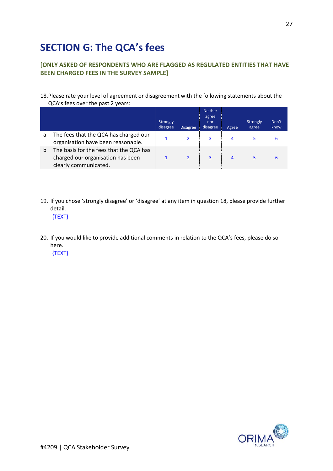## **SECTION G: The QCA's fees**

### **[ONLY ASKED OF RESPONDENTS WHO ARE FLAGGED AS REGULATED ENTITIES THAT HAVE BEEN CHARGED FEES IN THE SURVEY SAMPLE]**

#### 18.Please rate your level of agreement or disagreement with the following statements about the QCA's fees over the past 2 years:

|   |                                                                                                       | Strongly<br>disagree | <b>Disagree</b> | <b>Neither</b><br>agree<br>nor<br>disagree | Agree | Strongly<br>agree | Don't<br>know |
|---|-------------------------------------------------------------------------------------------------------|----------------------|-----------------|--------------------------------------------|-------|-------------------|---------------|
| a | The fees that the QCA has charged our<br>organisation have been reasonable.                           |                      |                 | 3                                          | 4     |                   |               |
| b | The basis for the fees that the QCA has<br>charged our organisation has been<br>clearly communicated. |                      |                 | 3                                          | 4     |                   |               |

19. If you chose 'strongly disagree' or 'disagree' at any item in question 18, please provide further detail.

{TEXT}

20. If you would like to provide additional comments in relation to the QCA's fees, please do so here.

{TEXT}

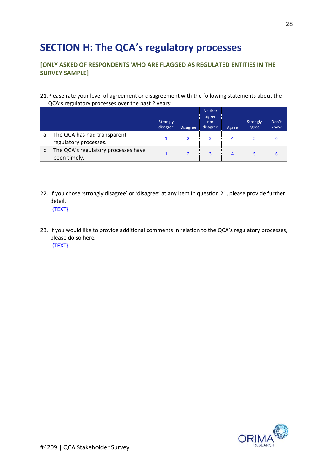## **SECTION H: The QCA's regulatory processes**

### **[ONLY ASKED OF RESPONDENTS WHO ARE FLAGGED AS REGULATED ENTITIES IN THE SURVEY SAMPLE]**

#### 21.Please rate your level of agreement or disagreement with the following statements about the QCA's regulatory processes over the past 2 years:

|   |                                                      | Strongly<br>disagree | <b>Disagree</b> | <b>Neither</b><br>agree<br>nor<br>disagree | Agree | Strongly<br>agree | Don't<br>know |
|---|------------------------------------------------------|----------------------|-----------------|--------------------------------------------|-------|-------------------|---------------|
| a | The QCA has had transparent<br>regulatory processes. |                      |                 | 3                                          | 4     |                   |               |
| b | The QCA's regulatory processes have<br>been timely.  |                      |                 | 3                                          | 4     |                   |               |

22. If you chose 'strongly disagree' or 'disagree' at any item in question 21, please provide further detail.

{TEXT}

23. If you would like to provide additional comments in relation to the QCA's regulatory processes, please do so here.

{TEXT}

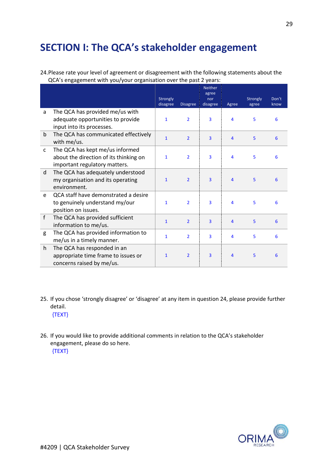## **SECTION I: The QCA's stakeholder engagement**

24.Please rate your level of agreement or disagreement with the following statements about the QCA's engagement with you/your organisation over the past 2 years:

|              |                                                                                                            | Strongly<br>disagree | <b>Disagree</b> | <b>Neither</b><br>agree<br>nor<br>disagree | Agree          | Strongly<br>agree | Don't<br>know |
|--------------|------------------------------------------------------------------------------------------------------------|----------------------|-----------------|--------------------------------------------|----------------|-------------------|---------------|
| a            | The QCA has provided me/us with<br>adequate opportunities to provide<br>input into its processes.          | $\mathbf{1}$         | $\overline{2}$  | $\overline{\mathbf{3}}$                    | 4              | 5                 | 6             |
| $\mathsf{b}$ | The QCA has communicated effectively<br>with me/us.                                                        | $\mathbf{1}$         | $\overline{2}$  | $\overline{3}$                             | $\overline{4}$ | 5                 | 6             |
| $\mathsf{C}$ | The QCA has kept me/us informed<br>about the direction of its thinking on<br>important regulatory matters. | $\mathbf{1}$         | $\overline{2}$  | $\overline{\mathbf{3}}$                    | 4              | 5                 | 6             |
| d            | The QCA has adequately understood<br>my organisation and its operating<br>environment.                     | $\mathbf{1}$         | $\overline{2}$  | $\overline{3}$                             | $\overline{4}$ | 5                 | 6             |
| e            | QCA staff have demonstrated a desire<br>to genuinely understand my/our<br>position on issues.              | $\mathbf{1}$         | $\overline{2}$  | $\overline{\mathbf{3}}$                    | 4              | 5                 | 6             |
| f            | The QCA has provided sufficient<br>information to me/us.                                                   | $\mathbf{1}$         | $\overline{2}$  | $\overline{3}$                             | $\overline{4}$ | 5                 | 6             |
| g            | The QCA has provided information to<br>me/us in a timely manner.                                           | $\mathbf{1}$         | $\overline{2}$  | 3                                          | 4              | 5                 | 6             |
| h.           | The QCA has responded in an<br>appropriate time frame to issues or<br>concerns raised by me/us.            | $\mathbf{1}$         | $\overline{2}$  | $\overline{3}$                             | 4              | 5                 | 6             |

- 25. If you chose 'strongly disagree' or 'disagree' at any item in question 24, please provide further detail. {TEXT}
- 26. If you would like to provide additional comments in relation to the QCA's stakeholder engagement, please do so here. {TEXT}